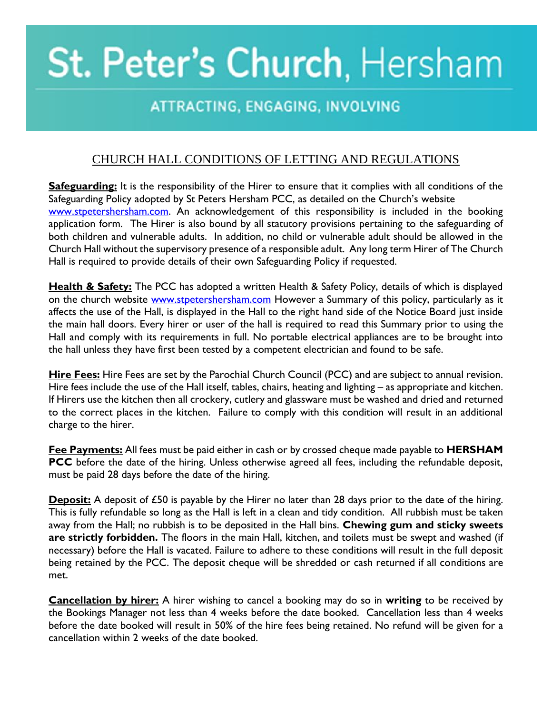## St. Peter's Church, Hersham

## ATTRACTING, ENGAGING, INVOLVING

## CHURCH HALL CONDITIONS OF LETTING AND REGULATIONS

**Safeguarding:** It is the responsibility of the Hirer to ensure that it complies with all conditions of the Safeguarding Policy adopted by St Peters Hersham PCC, as detailed on the Church's website [www.stpetershersham.com.](http://www.stpetershersham.com/) An acknowledgement of this responsibility is included in the booking application form. The Hirer is also bound by all statutory provisions pertaining to the safeguarding of both children and vulnerable adults. In addition, no child or vulnerable adult should be allowed in the Church Hall without the supervisory presence of a responsible adult. Any long term Hirer of The Church Hall is required to provide details of their own Safeguarding Policy if requested.

**Health & Safety:** The PCC has adopted a written Health & Safety Policy, details of which is displayed on the church website [www.stpetershersham.com](http://www.stpetershersham.com/) However a Summary of this policy, particularly as it affects the use of the Hall, is displayed in the Hall to the right hand side of the Notice Board just inside the main hall doors. Every hirer or user of the hall is required to read this Summary prior to using the Hall and comply with its requirements in full. No portable electrical appliances are to be brought into the hall unless they have first been tested by a competent electrician and found to be safe.

**Hire Fees:** Hire Fees are set by the Parochial Church Council (PCC) and are subject to annual revision. Hire fees include the use of the Hall itself, tables, chairs, heating and lighting – as appropriate and kitchen. If Hirers use the kitchen then all crockery, cutlery and glassware must be washed and dried and returned to the correct places in the kitchen. Failure to comply with this condition will result in an additional charge to the hirer.

**Fee Payments:** All fees must be paid either in cash or by crossed cheque made payable to **HERSHAM PCC** before the date of the hiring. Unless otherwise agreed all fees, including the refundable deposit, must be paid 28 days before the date of the hiring.

**Deposit:** A deposit of £50 is payable by the Hirer no later than 28 days prior to the date of the hiring. This is fully refundable so long as the Hall is left in a clean and tidy condition. All rubbish must be taken away from the Hall; no rubbish is to be deposited in the Hall bins. **Chewing gum and sticky sweets are strictly forbidden.** The floors in the main Hall, kitchen, and toilets must be swept and washed (if necessary) before the Hall is vacated. Failure to adhere to these conditions will result in the full deposit being retained by the PCC. The deposit cheque will be shredded or cash returned if all conditions are met.

**Cancellation by hirer:** A hirer wishing to cancel a booking may do so in **writing** to be received by the Bookings Manager not less than 4 weeks before the date booked. Cancellation less than 4 weeks before the date booked will result in 50% of the hire fees being retained. No refund will be given for a cancellation within 2 weeks of the date booked.